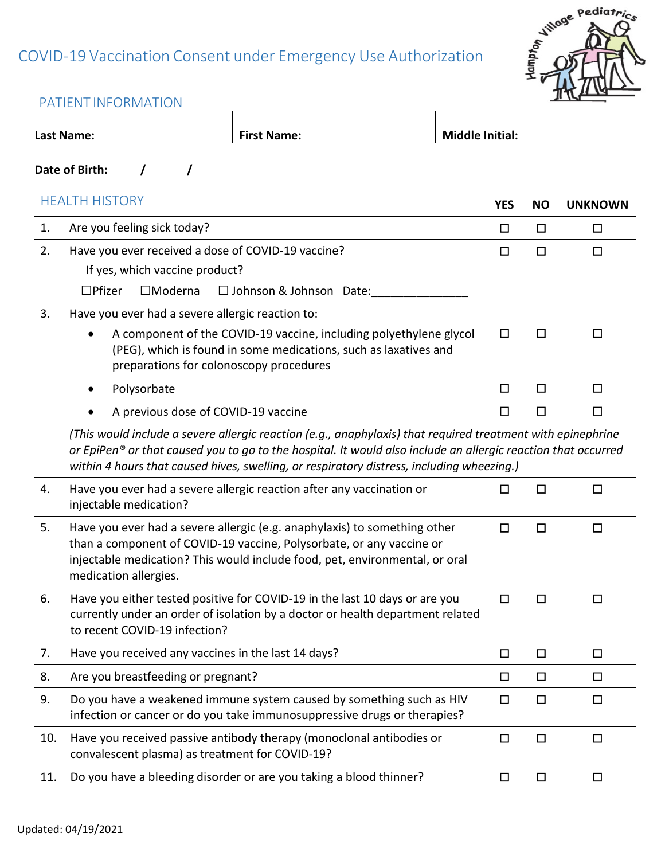# COVID-19 Vaccination Consent under Emergency Use Authorization



|     | PATIENT INFORMATION                                                                                                     |                                                                                                                                                                                                                                                                                                                           |                        |           |                |
|-----|-------------------------------------------------------------------------------------------------------------------------|---------------------------------------------------------------------------------------------------------------------------------------------------------------------------------------------------------------------------------------------------------------------------------------------------------------------------|------------------------|-----------|----------------|
|     | Last Name:                                                                                                              | <b>First Name:</b>                                                                                                                                                                                                                                                                                                        | <b>Middle Initial:</b> |           |                |
|     | Date of Birth:                                                                                                          |                                                                                                                                                                                                                                                                                                                           |                        |           |                |
|     | <b>HEALTH HISTORY</b>                                                                                                   |                                                                                                                                                                                                                                                                                                                           | <b>YES</b>             | <b>NO</b> | <b>UNKNOWN</b> |
| 1.  | Are you feeling sick today?                                                                                             |                                                                                                                                                                                                                                                                                                                           | □                      | □         | □              |
| 2.  | Have you ever received a dose of COVID-19 vaccine?<br>If yes, which vaccine product?<br>$\Box$ Pfizer<br>$\Box$ Moderna | $\Box$ Johnson & Johnson Date:                                                                                                                                                                                                                                                                                            | $\Box$                 | $\Box$    | □              |
| 3.  | Have you ever had a severe allergic reaction to:<br>preparations for colonoscopy procedures                             | A component of the COVID-19 vaccine, including polyethylene glycol<br>(PEG), which is found in some medications, such as laxatives and                                                                                                                                                                                    | □                      | □         | ப              |
|     | Polysorbate                                                                                                             |                                                                                                                                                                                                                                                                                                                           | $\Box$                 | □         | $\Box$         |
|     | A previous dose of COVID-19 vaccine                                                                                     |                                                                                                                                                                                                                                                                                                                           | □                      | □         | □              |
|     |                                                                                                                         | (This would include a severe allergic reaction (e.g., anaphylaxis) that required treatment with epinephrine<br>or EpiPen® or that caused you to go to the hospital. It would also include an allergic reaction that occurred<br>within 4 hours that caused hives, swelling, or respiratory distress, including wheezing.) |                        |           |                |
| 4.  | injectable medication?                                                                                                  | Have you ever had a severe allergic reaction after any vaccination or                                                                                                                                                                                                                                                     | □                      | $\Box$    | □              |
| 5.  | medication allergies.                                                                                                   | Have you ever had a severe allergic (e.g. anaphylaxis) to something other<br>than a component of COVID-19 vaccine, Polysorbate, or any vaccine or<br>injectable medication? This would include food, pet, environmental, or oral                                                                                          | $\Box$                 | $\Box$    | $\Box$         |
| 6.  | to recent COVID-19 infection?                                                                                           | Have you either tested positive for COVID-19 in the last 10 days or are you<br>currently under an order of isolation by a doctor or health department related                                                                                                                                                             | 口                      | П         | □              |
| 7.  | Have you received any vaccines in the last 14 days?                                                                     |                                                                                                                                                                                                                                                                                                                           | □                      | $\Box$    | □              |
| 8.  | Are you breastfeeding or pregnant?                                                                                      |                                                                                                                                                                                                                                                                                                                           | $\Box$                 | $\Box$    | □              |
| 9.  |                                                                                                                         | Do you have a weakened immune system caused by something such as HIV<br>infection or cancer or do you take immunosuppressive drugs or therapies?                                                                                                                                                                          | □                      | $\Box$    | □              |
| 10. | convalescent plasma) as treatment for COVID-19?                                                                         | Have you received passive antibody therapy (monoclonal antibodies or                                                                                                                                                                                                                                                      | $\Box$                 | $\Box$    | □              |
| 11. |                                                                                                                         | Do you have a bleeding disorder or are you taking a blood thinner?                                                                                                                                                                                                                                                        | □                      | $\Box$    | □              |